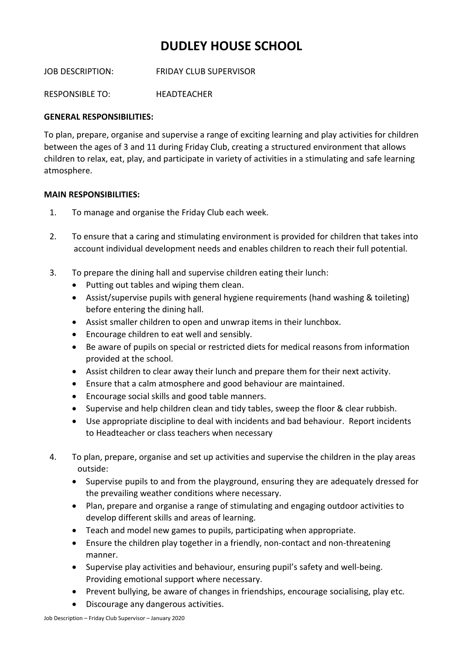## **DUDLEY HOUSE SCHOOL**

JOB DESCRIPTION: FRIDAY CLUB SUPERVISOR

RESPONSIBLE TO: HEADTEACHER

## **GENERAL RESPONSIBILITIES:**

To plan, prepare, organise and supervise a range of exciting learning and play activities for children between the ages of 3 and 11 during Friday Club, creating a structured environment that allows children to relax, eat, play, and participate in variety of activities in a stimulating and safe learning atmosphere.

## **MAIN RESPONSIBILITIES:**

- 1. To manage and organise the Friday Club each week.
- 2. To ensure that a caring and stimulating environment is provided for children that takes into account individual development needs and enables children to reach their full potential.
- 3. To prepare the dining hall and supervise children eating their lunch:
	- Putting out tables and wiping them clean.
	- Assist/supervise pupils with general hygiene requirements (hand washing & toileting) before entering the dining hall.
	- Assist smaller children to open and unwrap items in their lunchbox.
	- Encourage children to eat well and sensibly.
	- Be aware of pupils on special or restricted diets for medical reasons from information provided at the school.
	- Assist children to clear away their lunch and prepare them for their next activity.
	- Ensure that a calm atmosphere and good behaviour are maintained.
	- Encourage social skills and good table manners.
	- Supervise and help children clean and tidy tables, sweep the floor & clear rubbish.
	- Use appropriate discipline to deal with incidents and bad behaviour. Report incidents to Headteacher or class teachers when necessary
- 4. To plan, prepare, organise and set up activities and supervise the children in the play areas outside:
	- Supervise pupils to and from the playground, ensuring they are adequately dressed for the prevailing weather conditions where necessary.
	- Plan, prepare and organise a range of stimulating and engaging outdoor activities to develop different skills and areas of learning.
	- Teach and model new games to pupils, participating when appropriate.
	- Ensure the children play together in a friendly, non-contact and non-threatening manner.
	- Supervise play activities and behaviour, ensuring pupil's safety and well-being. Providing emotional support where necessary.
	- Prevent bullying, be aware of changes in friendships, encourage socialising, play etc.
	- Discourage any dangerous activities.